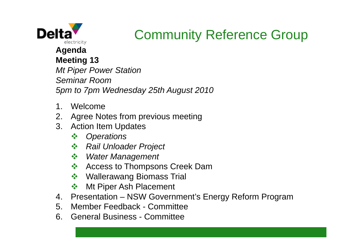

## Community Reference Group

#### **Agenda Meeting 13**

*Mt Piper Power Station Seminar Room5pm to 7pm Wednesday 25th August 2010*

- 1. Welcome
- 2. Agree Notes from previous meeting
- 3. Action Item Updates
	- $\frac{1}{2}$ *Operations*
	- *Rail Unloader Project*
	- *Water Management*
	- $\frac{1}{2}$ Access to Thompsons Creek Dam
	- ◆ Wallerawang Biomass Trial
	- $\frac{1}{2}$ Mt Piper Ash Placement
- 4. Presentation NSW Government's Energy Reform Program
- 5. Member Feedback Committee
- 6. General Business Committee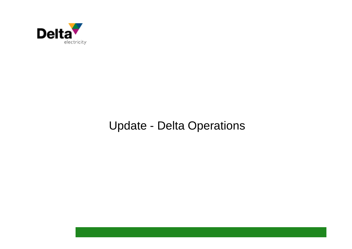

#### Update - Delta Operations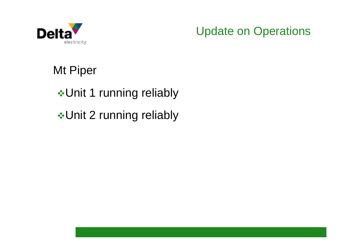

Update on Operations

Mt Piper

**∻Unit 1 running reliably** 

**∻Unit 2 running reliably**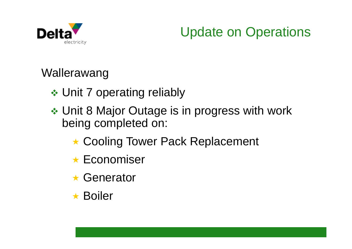

### Update on Operations

Wallerawang

- **❖ Unit 7 operating reliably**
- Unit 8 Major Outage is in progress with work being completed on:
	- ★ Cooling Tower Pack Replacement
	- **★ Economiser**
	- **\* Generator**
	- $\star$  Boiler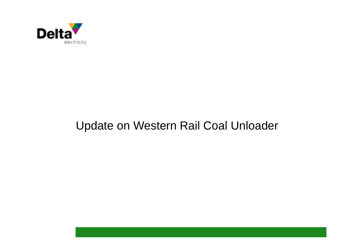

#### Update on Western Rail Coal Unloader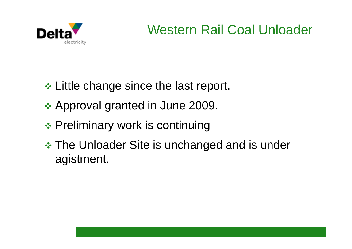

## Western Rail Coal Unloader

- **❖ Little change since the last report.**
- **❖ Approval granted in June 2009.**
- **❖ Preliminary work is continuing**
- **\*** The Unloader Site is unchanged and is under agistment.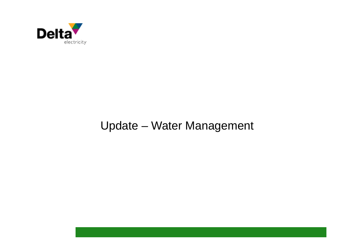

#### Update – Water Management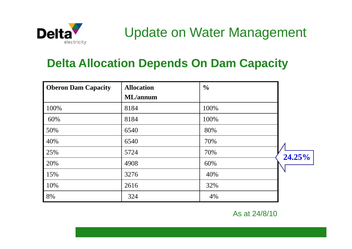

#### Update on Water Management

#### **Delta Allocation Depends On Dam Capacity**

| <b>Oberon Dam Capacity</b> | <b>Allocation</b> | $\frac{0}{0}$ |        |
|----------------------------|-------------------|---------------|--------|
|                            | <b>ML</b> /annum  |               |        |
| 100%                       | 8184              | 100%          |        |
| 60%                        | 8184              | 100%          |        |
| 50%                        | 6540              | 80%           |        |
| 40%                        | 6540              | 70%           |        |
| 25%                        | 5724              | 70%           | 24.25% |
| 20%                        | 4908              | 60%           |        |
| 15%                        | 3276              | 40%           |        |
| 10%                        | 2616              | 32%           |        |
| 8%                         | 324               | 4%            |        |

As at 24/8/10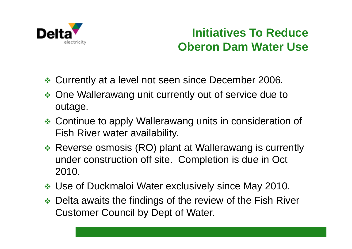

#### **Initiatives To Reduce Oberon Dam Water Use**

- Currently at a level not seen since December 2006.
- ◆ One Wallerawang unit currently out of service due to outage.
- Continue to apply Wallerawang units in consideration of Fish River water availability.
- Reverse osmosis (RO) plant at Wallerawang is currently under construction off site. Completion is due in Oct 2010.
- Use of Duckmaloi Water exclusively since May 2010.
- ◆ Delta awaits the findings of the review of the Fish River Customer Council by Dept of Water.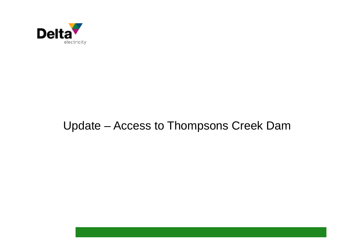

#### Update – Access to Thompsons Creek Dam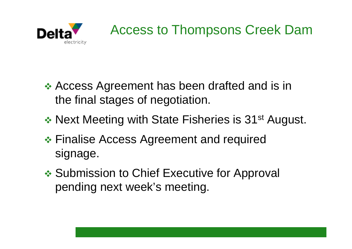

- Access Agreement has been drafted and is in the final stages of negotiation.
- \* Next Meeting with State Fisheries is 31<sup>st</sup> August.
- Finalise Access Agreement and required signage.
- **❖ Submission to Chief Executive for Approval** pending next week's meeting.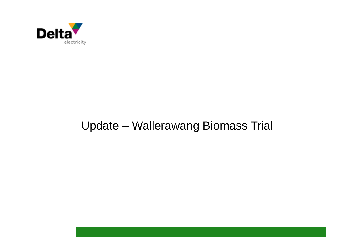

#### Update – Wallerawang Biomass Trial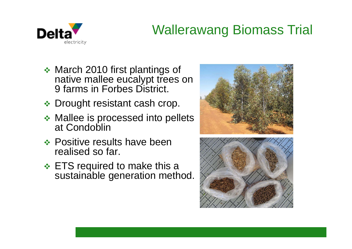

## Wallerawang Biomass Trial

- ◆ March 2010 first plantings of native mallee eucalypt trees on 9 farms in Forbes District.
- ◆ Drought resistant cash crop.
- **❖ Mallee is processed into pellets** at Condoblin
- ❖ Positive results have been realised so far.
- **ETS required to make this a** sustainable generation method.



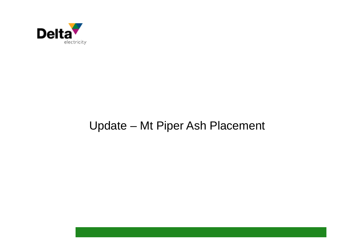

#### Update – Mt Piper Ash Placement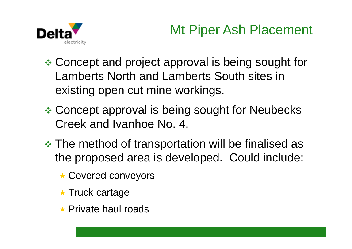

## Mt Piper Ash Placement

- Concept and project approval is being sought for Lamberts North and Lamberts South sites in existing open cut mine workings.
- Concept approval is being sought for Neubecks Creek and Ivanhoe No. 4.
- **\* The method of transportation will be finalised as** the proposed area is developed. Could include:
	- ★ Covered conveyors
	- **\* Truck cartage**
	- $\star$  Private haul roads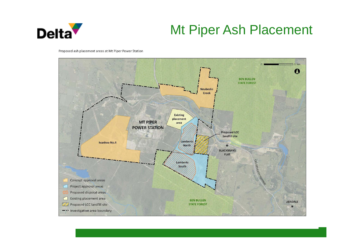

### Mt Piper Ash Placement

Proposed ash placement areas at Mt Piper Power Station

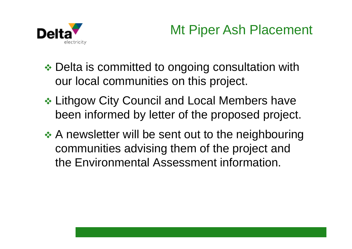

## Mt Piper Ash Placement

- **❖ Delta is committed to ongoing consultation with** our local communities on this project.
- **❖ Lithgow City Council and Local Members have** been informed by letter of the proposed project.
- **★ A newsletter will be sent out to the neighbouring** communities advising them of the project and the Environmental Assessment information.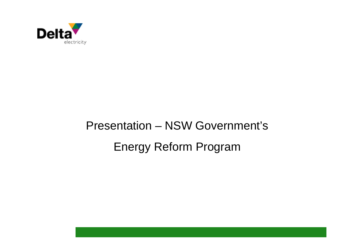

## Presentation – NSW Government's Energy Reform Program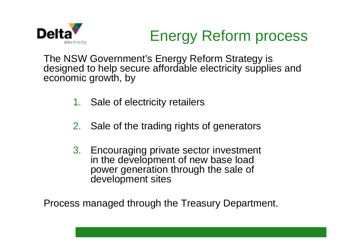

## Energy Reform process

The NSW Government's Energy Reform Strategy is designed to help secure affordable electricity supplies and economic growth, by

- 1. Sale of electricity retailers
- 2. Sale of the trading rights of generators
- 3. Encouraging private sector investment in the development of new base load power generation through the sale of development sites

Process managed through the Treasury Department.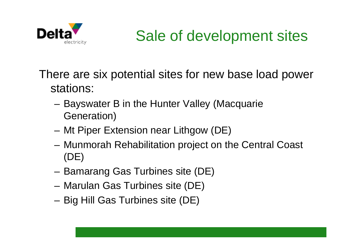

## Sale of development sites

There are six potential sites for new base load power stations:

- – Bayswater B in the Hunter Valley (Macquarie Generation)
- Mt Piper Extension near Lithgow (DE)
- Munmorah Rehabilitation project on the Central Coast (DE)
- –Bamarang Gas Turbines site (DE)
- –Marulan Gas Turbines site (DE)
- –Big Hill Gas Turbines site (DE)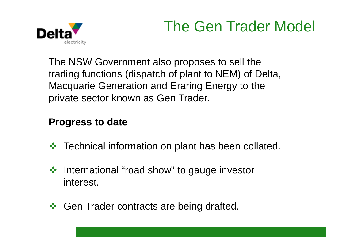## The Gen Trader Model



The NSW Government also proposes to sell the trading functions (dispatch of plant to NEM) of Delta, Macquarie Generation and Eraring Energy to the private sector known as Gen Trader.

#### **Progress to date**

- $\frac{1}{2}$ Technical information on plant has been collated.
- ❖ International "road show" to gauge investor interest.
- **❖ Gen Trader contracts are being drafted.**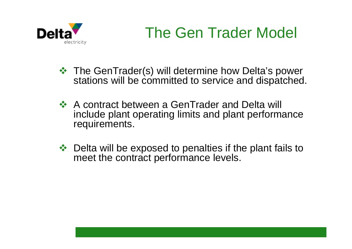

## The Gen Trader Model

- $\div$  The GenTrader(s) will determine how Delta's power stations will be committed to service and dispatched.
- **A** contract between a GenTrader and Delta will ↓ include plant operating limits and plant performance requirements.
- Delta will be exposed to penalties if the plant fails to meet the contract performance levels.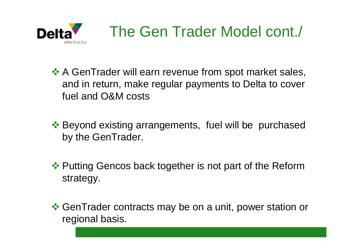

- **A** GenTrader will earn revenue from spot market sales, and in return, make regular payments to Delta to cover fuel and O&M costs
- **External Existing arrangements, fuel will be purchased** by the GenTrader.
- ❖ Putting Gencos back together is not part of the Reform strategy.
- $\triangle$  **GenTrader contracts may be on a unit, power station or** regional basis.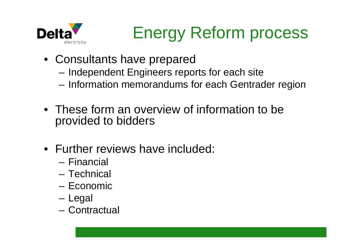

## Energy Reform process

- Consultants have prepared
	- –Independent Engineers reports for each site
	- Information memorandums for each Gentrader region
- These form an overview of information to be provided to bidders
- Further reviews have included:
	- Financial
	- Technical
	- Economic
	- Legal
	- Contractual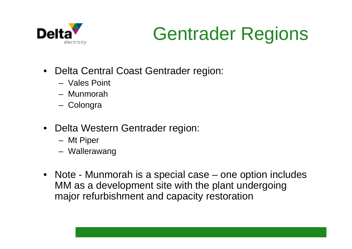

# Gentrader Regions

- Delta Central Coast Gentrader region:
	- Vales Point
	- Munmorah
	- Colongra
- Delta Western Gentrader region:
	- Mt Piper
	- Wallerawang
- Note Munmorah is a special case one option includes MM as a development site with the plant undergoing major refurbishment and capacity restoration